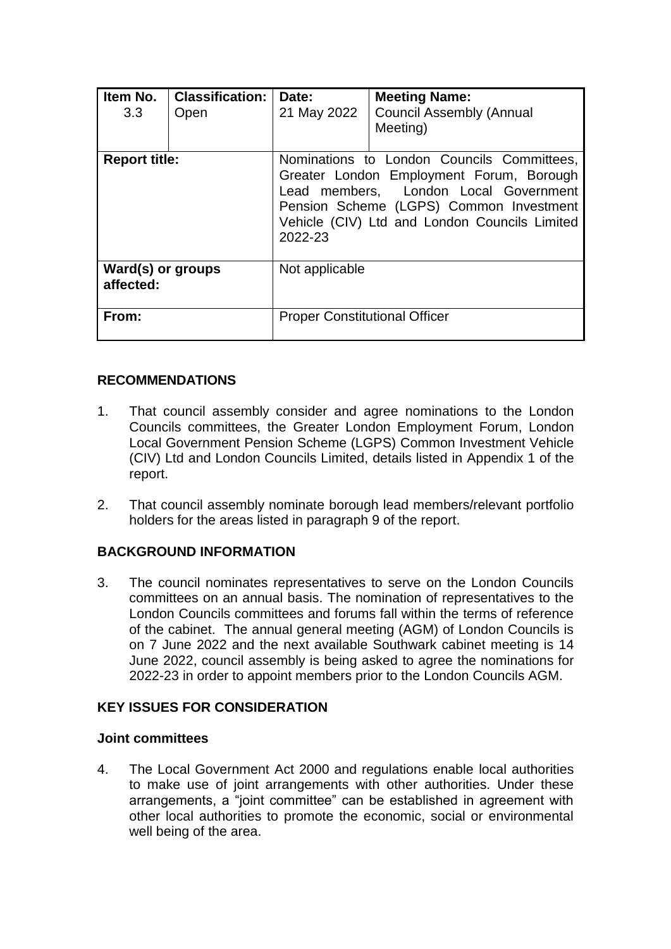| Item No.<br>3.3                | <b>Classification:</b><br>Open | Date:<br>21 May 2022                                                                                                                                                                                                                   | <b>Meeting Name:</b><br><b>Council Assembly (Annual</b><br>Meeting) |  |
|--------------------------------|--------------------------------|----------------------------------------------------------------------------------------------------------------------------------------------------------------------------------------------------------------------------------------|---------------------------------------------------------------------|--|
| <b>Report title:</b>           |                                | Nominations to London Councils Committees,<br>Greater London Employment Forum, Borough<br>Lead members, London Local Government<br>Pension Scheme (LGPS) Common Investment<br>Vehicle (CIV) Ltd and London Councils Limited<br>2022-23 |                                                                     |  |
| Ward(s) or groups<br>affected: |                                | Not applicable                                                                                                                                                                                                                         |                                                                     |  |
| From:                          |                                | <b>Proper Constitutional Officer</b>                                                                                                                                                                                                   |                                                                     |  |

#### **RECOMMENDATIONS**

- 1. That council assembly consider and agree nominations to the London Councils committees, the Greater London Employment Forum, London Local Government Pension Scheme (LGPS) Common Investment Vehicle (CIV) Ltd and London Councils Limited, details listed in Appendix 1 of the report.
- 2. That council assembly nominate borough lead members/relevant portfolio holders for the areas listed in paragraph 9 of the report.

### **BACKGROUND INFORMATION**

3. The council nominates representatives to serve on the London Councils committees on an annual basis. The nomination of representatives to the London Councils committees and forums fall within the terms of reference of the cabinet. The annual general meeting (AGM) of London Councils is on 7 June 2022 and the next available Southwark cabinet meeting is 14 June 2022, council assembly is being asked to agree the nominations for 2022-23 in order to appoint members prior to the London Councils AGM.

### **KEY ISSUES FOR CONSIDERATION**

#### **Joint committees**

4. The Local Government Act 2000 and regulations enable local authorities to make use of joint arrangements with other authorities. Under these arrangements, a "joint committee" can be established in agreement with other local authorities to promote the economic, social or environmental well being of the area.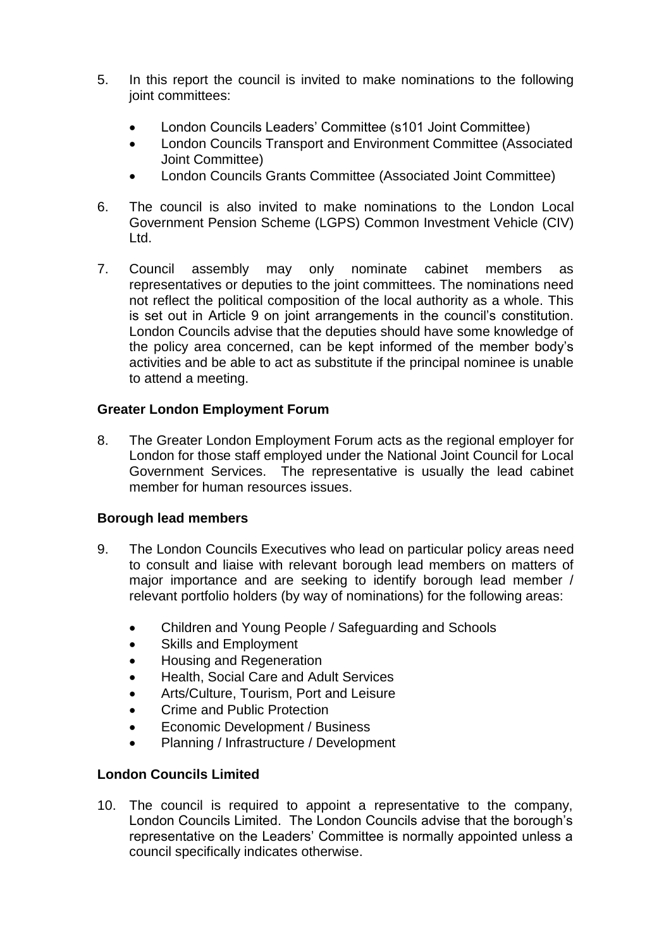- 5. In this report the council is invited to make nominations to the following joint committees:
	- London Councils Leaders' Committee (s101 Joint Committee)
	- London Councils Transport and Environment Committee (Associated Joint Committee)
	- London Councils Grants Committee (Associated Joint Committee)
- 6. The council is also invited to make nominations to the London Local Government Pension Scheme (LGPS) Common Investment Vehicle (CIV) Ltd.
- 7. Council assembly may only nominate cabinet members as representatives or deputies to the joint committees. The nominations need not reflect the political composition of the local authority as a whole. This is set out in Article 9 on joint arrangements in the council's constitution. London Councils advise that the deputies should have some knowledge of the policy area concerned, can be kept informed of the member body's activities and be able to act as substitute if the principal nominee is unable to attend a meeting.

## **Greater London Employment Forum**

8. The Greater London Employment Forum acts as the regional employer for London for those staff employed under the National Joint Council for Local Government Services. The representative is usually the lead cabinet member for human resources issues.

### **Borough lead members**

- 9. The London Councils Executives who lead on particular policy areas need to consult and liaise with relevant borough lead members on matters of major importance and are seeking to identify borough lead member / relevant portfolio holders (by way of nominations) for the following areas:
	- Children and Young People / Safeguarding and Schools
	- Skills and Employment
	- Housing and Regeneration
	- Health, Social Care and Adult Services
	- Arts/Culture, Tourism, Port and Leisure
	- Crime and Public Protection
	- Economic Development / Business
	- Planning / Infrastructure / Development

# **London Councils Limited**

10. The council is required to appoint a representative to the company, London Councils Limited. The London Councils advise that the borough's representative on the Leaders' Committee is normally appointed unless a council specifically indicates otherwise.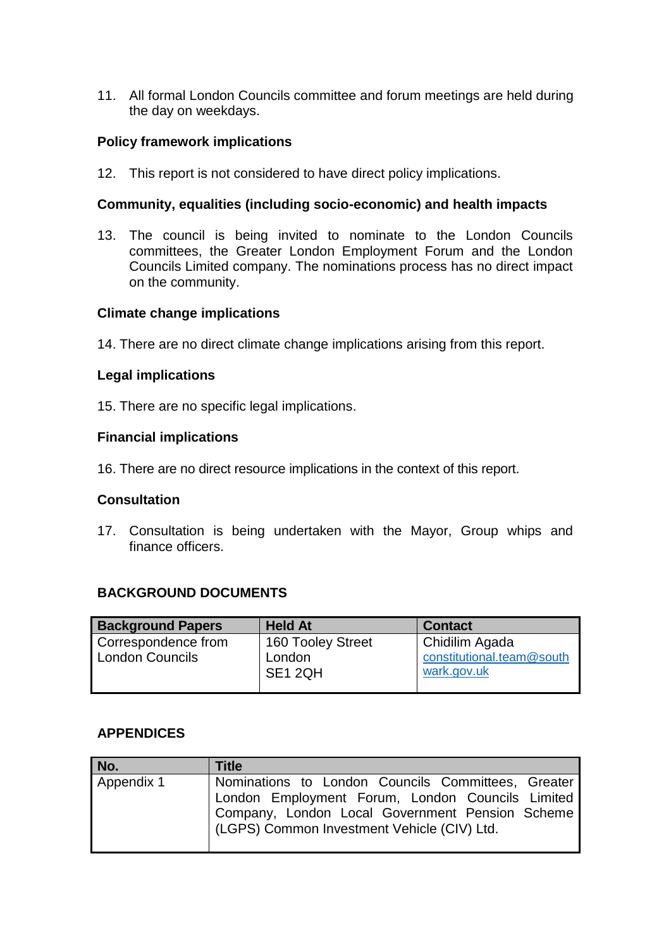11. All formal London Councils committee and forum meetings are held during the day on weekdays.

#### **Policy framework implications**

12. This report is not considered to have direct policy implications.

#### **Community, equalities (including socio-economic) and health impacts**

13. The council is being invited to nominate to the London Councils committees, the Greater London Employment Forum and the London Councils Limited company. The nominations process has no direct impact on the community.

#### **Climate change implications**

14. There are no direct climate change implications arising from this report.

#### **Legal implications**

15. There are no specific legal implications.

#### **Financial implications**

16. There are no direct resource implications in the context of this report.

#### **Consultation**

17. Consultation is being undertaken with the Mayor, Group whips and finance officers.

### **BACKGROUND DOCUMENTS**

| <b>Background Papers</b> | <b>Held At</b>    | <b>Contact</b>            |
|--------------------------|-------------------|---------------------------|
| Correspondence from      | 160 Tooley Street | Chidilim Agada            |
| <b>London Councils</b>   | London            | constitutional.team@south |
|                          | SE1 2QH           | wark.gov.uk               |

### **APPENDICES**

| No.        | <b>Title</b>                                       |  |  |  |  |
|------------|----------------------------------------------------|--|--|--|--|
| Appendix 1 | Nominations to London Councils Committees, Greater |  |  |  |  |
|            | London Employment Forum, London Councils Limited   |  |  |  |  |
|            | Company, London Local Government Pension Scheme    |  |  |  |  |
|            | (LGPS) Common Investment Vehicle (CIV) Ltd.        |  |  |  |  |
|            |                                                    |  |  |  |  |